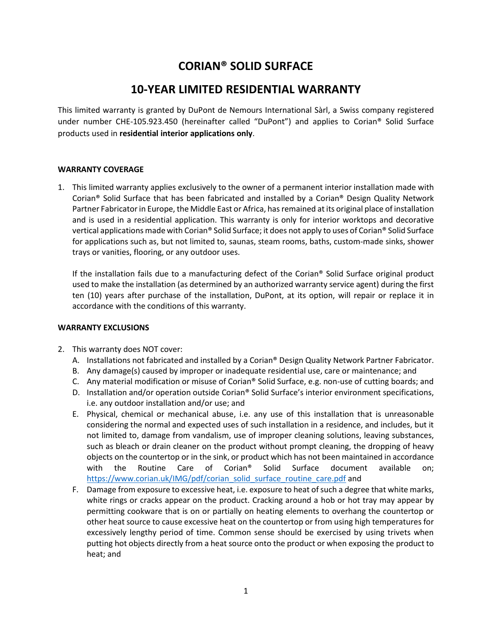# **CORIAN® SOLID SURFACE**

# **10-YEAR LIMITED RESIDENTIAL WARRANTY**

This limited warranty is granted by DuPont de Nemours International Sàrl, a Swiss company registered under number CHE-105.923.450 (hereinafter called "DuPont") and applies to Corian® Solid Surface products used in **residential interior applications only**.

# **WARRANTY COVERAGE**

1. This limited warranty applies exclusively to the owner of a permanent interior installation made with Corian® Solid Surface that has been fabricated and installed by a Corian® Design Quality Network Partner Fabricator in Europe, the Middle East or Africa, has remained at its original place of installation and is used in a residential application. This warranty is only for interior worktops and decorative vertical applications made with Corian® Solid Surface; it does not apply to uses of Corian® Solid Surface for applications such as, but not limited to, saunas, steam rooms, baths, custom-made sinks, shower trays or vanities, flooring, or any outdoor uses.

If the installation fails due to a manufacturing defect of the Corian® Solid Surface original product used to make the installation (as determined by an authorized warranty service agent) during the first ten (10) years after purchase of the installation, DuPont, at its option, will repair or replace it in accordance with the conditions of this warranty.

# **WARRANTY EXCLUSIONS**

- 2. This warranty does NOT cover:
	- A. Installations not fabricated and installed by a Corian® Design Quality Network Partner Fabricator.
	- B. Any damage(s) caused by improper or inadequate residential use, care or maintenance; and
	- C. Any material modification or misuse of Corian® Solid Surface, e.g. non-use of cutting boards; and
	- D. Installation and/or operation outside Corian® Solid Surface's interior environment specifications, i.e. any outdoor installation and/or use; and
	- E. Physical, chemical or mechanical abuse, i.e. any use of this installation that is unreasonable considering the normal and expected uses of such installation in a residence, and includes, but it not limited to, damage from vandalism, use of improper cleaning solutions, leaving substances, such as bleach or drain cleaner on the product without prompt cleaning, the dropping of heavy objects on the countertop or in the sink, or product which has not been maintained in accordance with the Routine Care of Corian® Solid Surface document available on; [https://www.corian.uk/IMG/pdf/corian\\_solid\\_surface\\_routine\\_care.pdf](https://www.corian.uk/IMG/pdf/corian_solid_surface_routine_care.pdf) and
	- F. Damage from exposure to excessive heat, i.e. exposure to heat of such a degree that white marks, white rings or cracks appear on the product. Cracking around a hob or hot tray may appear by permitting cookware that is on or partially on heating elements to overhang the countertop or other heat source to cause excessive heat on the countertop or from using high temperatures for excessively lengthy period of time. Common sense should be exercised by using trivets when putting hot objects directly from a heat source onto the product or when exposing the product to heat; and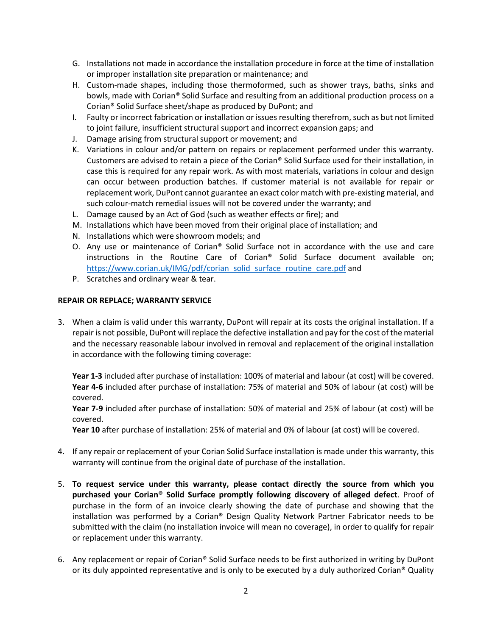- G. Installations not made in accordance the installation procedure in force at the time of installation or improper installation site preparation or maintenance; and
- H. Custom-made shapes, including those thermoformed, such as shower trays, baths, sinks and bowls, made with Corian® Solid Surface and resulting from an additional production process on a Corian® Solid Surface sheet/shape as produced by DuPont; and
- I. Faulty or incorrect fabrication or installation or issues resulting therefrom, such as but not limited to joint failure, insufficient structural support and incorrect expansion gaps; and
- J. Damage arising from structural support or movement; and
- K. Variations in colour and/or pattern on repairs or replacement performed under this warranty. Customers are advised to retain a piece of the Corian® Solid Surface used for their installation, in case this is required for any repair work. As with most materials, variations in colour and design can occur between production batches. If customer material is not available for repair or replacement work, DuPont cannot guarantee an exact color match with pre-existing material, and such colour-match remedial issues will not be covered under the warranty; and
- L. Damage caused by an Act of God (such as weather effects or fire); and
- M. Installations which have been moved from their original place of installation; and
- N. Installations which were showroom models; and
- O. Any use or maintenance of Corian® Solid Surface not in accordance with the use and care instructions in the Routine Care of Corian® Solid Surface document available on; [https://www.corian.uk/IMG/pdf/corian\\_solid\\_surface\\_routine\\_care.pdf](https://www.corian.uk/IMG/pdf/corian_solid_surface_routine_care.pdf) and
- P. Scratches and ordinary wear & tear.

#### **REPAIR OR REPLACE; WARRANTY SERVICE**

3. When a claim is valid under this warranty, DuPont will repair at its costs the original installation. If a repair is not possible, DuPont will replace the defective installation and pay for the cost of the material and the necessary reasonable labour involved in removal and replacement of the original installation in accordance with the following timing coverage:

**Year 1-3** included after purchase of installation: 100% of material and labour (at cost) will be covered. **Year 4-6** included after purchase of installation: 75% of material and 50% of labour (at cost) will be covered.

**Year 7-9** included after purchase of installation: 50% of material and 25% of labour (at cost) will be covered.

**Year 10** after purchase of installation: 25% of material and 0% of labour (at cost) will be covered.

- 4. If any repair or replacement of your Corian Solid Surface installation is made under this warranty, this warranty will continue from the original date of purchase of the installation.
- 5. **To request service under this warranty, please contact directly the source from which you purchased your Corian® Solid Surface promptly following discovery of alleged defect**. Proof of purchase in the form of an invoice clearly showing the date of purchase and showing that the installation was performed by a Corian® Design Quality Network Partner Fabricator needs to be submitted with the claim (no installation invoice will mean no coverage), in order to qualify for repair or replacement under this warranty.
- 6. Any replacement or repair of Corian® Solid Surface needs to be first authorized in writing by DuPont or its duly appointed representative and is only to be executed by a duly authorized Corian<sup>®</sup> Quality